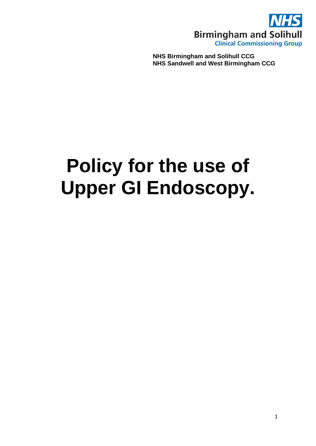

**NHS Birmingham and Solihull CCG NHS Sandwell and West Birmingham CCG**

# **Policy for the use of Upper GI Endoscopy.**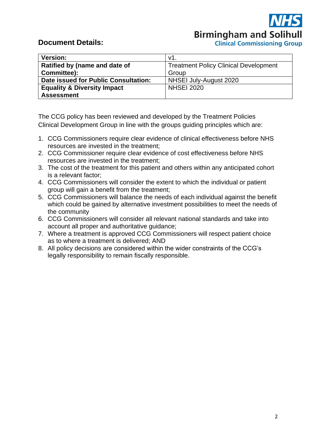**Birmingham and Solihull Clinical Commissioning Group** 

# **Document Details:**

| <b>Version:</b>                        | v1                                           |
|----------------------------------------|----------------------------------------------|
| Ratified by (name and date of          | <b>Treatment Policy Clinical Development</b> |
| Committee):                            | Group                                        |
| Date issued for Public Consultation:   | NHSEI July-August 2020                       |
| <b>Equality &amp; Diversity Impact</b> | <b>NHSEI 2020</b>                            |
| <b>Assessment</b>                      |                                              |

The CCG policy has been reviewed and developed by the Treatment Policies Clinical Development Group in line with the groups guiding principles which are:

- 1. CCG Commissioners require clear evidence of clinical effectiveness before NHS resources are invested in the treatment;
- 2. CCG Commissioner require clear evidence of cost effectiveness before NHS resources are invested in the treatment;
- 3. The cost of the treatment for this patient and others within any anticipated cohort is a relevant factor;
- 4. CCG Commissioners will consider the extent to which the individual or patient group will gain a benefit from the treatment;
- 5. CCG Commissioners will balance the needs of each individual against the benefit which could be gained by alternative investment possibilities to meet the needs of the community
- 6. CCG Commissioners will consider all relevant national standards and take into account all proper and authoritative guidance;
- 7. Where a treatment is approved CCG Commissioners will respect patient choice as to where a treatment is delivered; AND
- 8. All policy decisions are considered within the wider constraints of the CCG's legally responsibility to remain fiscally responsible.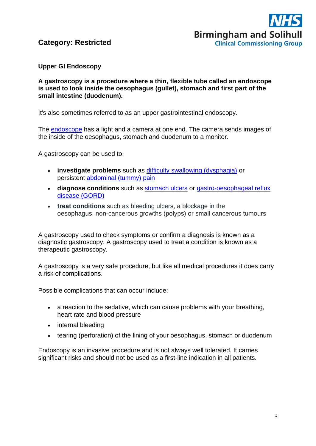

# **Category: Restricted**

#### **Upper GI Endoscopy**

#### **A gastroscopy is a procedure where a thin, flexible tube called an endoscope is used to look inside the oesophagus (gullet), stomach and first part of the small intestine (duodenum).**

It's also sometimes referred to as an upper gastrointestinal endoscopy.

The **[endoscope](https://www.nhs.uk/conditions/endoscopy/)** has a light and a camera at one end. The camera sends images of the inside of the oesophagus, stomach and duodenum to a monitor.

A gastroscopy can be used to:

- **investigate problems** such as [difficulty swallowing \(dysphagia\)](https://www.nhs.uk/conditions/swallowing-problems-dysphagia/) or persistent [abdominal \(tummy\) pain](https://www.nhs.uk/conditions/stomach-ache/)
- **diagnose conditions** such as [stomach ulcers](https://www.nhs.uk/conditions/stomach-ulcer/) or [gastro-oesophageal reflux](https://www.nhs.uk/conditions/heartburn-and-acid-reflux/)  [disease \(GORD\)](https://www.nhs.uk/conditions/heartburn-and-acid-reflux/)
- **treat conditions** such as bleeding ulcers, a blockage in the oesophagus, non-cancerous growths (polyps) or small cancerous tumours

A gastroscopy used to check symptoms or confirm a diagnosis is known as a diagnostic gastroscopy. A gastroscopy used to treat a condition is known as a therapeutic gastroscopy.

A gastroscopy is a very safe procedure, but like all medical procedures it does carry a risk of complications.

Possible complications that can occur include:

- a reaction to the sedative, which can cause problems with your breathing, heart rate and blood pressure
- internal bleeding
- tearing (perforation) of the lining of your oesophagus, stomach or duodenum

Endoscopy is an invasive procedure and is not always well tolerated. It carries significant risks and should not be used as a first-line indication in all patients.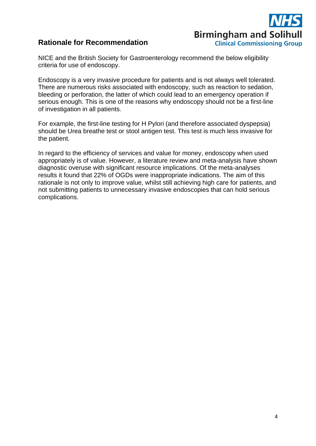# **Birmingham and Solihull Clinical Commissioning Group**

# **Rationale for Recommendation**

NICE and the British Society for Gastroenterology recommend the below eligibility criteria for use of endoscopy.

Endoscopy is a very invasive procedure for patients and is not always well tolerated. There are numerous risks associated with endoscopy, such as reaction to sedation, bleeding or perforation, the latter of which could lead to an emergency operation if serious enough. This is one of the reasons why endoscopy should not be a first-line of investigation in all patients.

For example, the first-line testing for H Pylori (and therefore associated dyspepsia) should be Urea breathe test or stool antigen test. This test is much less invasive for the patient.

In regard to the efficiency of services and value for money, endoscopy when used appropriately is of value. However, a literature review and meta-analysis have shown diagnostic overuse with significant resource implications. Of the meta-analyses results it found that 22% of OGDs were inappropriate indications. The aim of this rationale is not only to improve value, whilst still achieving high care for patients, and not submitting patients to unnecessary invasive endoscopies that can hold serious complications.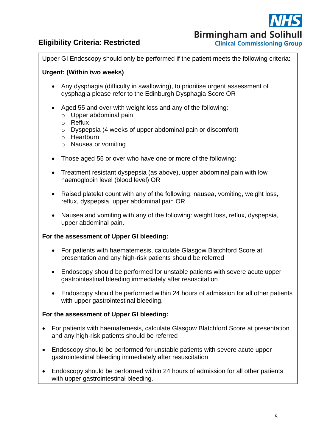# **Eligibility Criteria: Restricted**



Upper GI Endoscopy should only be performed if the patient meets the following criteria:

#### **Urgent: (Within two weeks)**

- Any dysphagia (difficulty in swallowing), to prioritise urgent assessment of dysphagia please refer to the Edinburgh Dysphagia Score OR
- Aged 55 and over with weight loss and any of the following:
	- o Upper abdominal pain
	- o Reflux
	- o Dyspepsia (4 weeks of upper abdominal pain or discomfort)
	- o Heartburn
	- o Nausea or vomiting
- Those aged 55 or over who have one or more of the following:
- Treatment resistant dyspepsia (as above), upper abdominal pain with low haemoglobin level (blood level) OR
- Raised platelet count with any of the following: nausea, vomiting, weight loss, reflux, dyspepsia, upper abdominal pain OR
- Nausea and vomiting with any of the following: weight loss, reflux, dyspepsia, upper abdominal pain.

#### **For the assessment of Upper GI bleeding:**

- For patients with haematemesis, calculate Glasgow Blatchford Score at presentation and any high-risk patients should be referred
- Endoscopy should be performed for unstable patients with severe acute upper gastrointestinal bleeding immediately after resuscitation
- Endoscopy should be performed within 24 hours of admission for all other patients with upper gastrointestinal bleeding.

#### **For the assessment of Upper GI bleeding:**

- For patients with haematemesis, calculate Glasgow Blatchford Score at presentation and any high-risk patients should be referred
- Endoscopy should be performed for unstable patients with severe acute upper gastrointestinal bleeding immediately after resuscitation
- Endoscopy should be performed within 24 hours of admission for all other patients with upper gastrointestinal bleeding.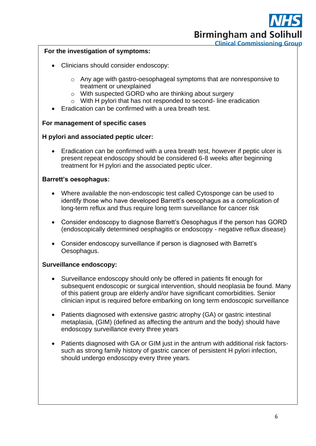**Birmingham and Solihull Clinical Commissioning Group** 

#### **For the investigation of symptoms:**

- Clinicians should consider endoscopy:
	- o Any age with gastro-oesophageal symptoms that are nonresponsive to treatment or unexplained
	- o With suspected GORD who are thinking about surgery
	- o With H pylori that has not responded to second- line eradication
- Eradication can be confirmed with a urea breath test.

#### **For management of specific cases**

#### **H pylori and associated peptic ulcer:**

• Eradication can be confirmed with a urea breath test, however if peptic ulcer is present repeat endoscopy should be considered 6-8 weeks after beginning treatment for H pylori and the associated peptic ulcer.

#### **Barrett's oesophagus:**

- Where available the non-endoscopic test called Cytosponge can be used to identify those who have developed Barrett's oesophagus as a complication of long-term reflux and thus require long term surveillance for cancer risk
- Consider endoscopy to diagnose Barrett's Oesophagus if the person has GORD (endoscopically determined oesphagitis or endoscopy - negative reflux disease)
- Consider endoscopy surveillance if person is diagnosed with Barrett's Oesophagus.

#### **Surveillance endoscopy:**

- Surveillance endoscopy should only be offered in patients fit enough for subsequent endoscopic or surgical intervention, should neoplasia be found. Many of this patient group are elderly and/or have significant comorbidities. Senior clinician input is required before embarking on long term endoscopic surveillance
- Patients diagnosed with extensive gastric atrophy (GA) or gastric intestinal metaplasia, (GIM) (defined as affecting the antrum and the body) should have endoscopy surveillance every three years
- Patients diagnosed with GA or GIM just in the antrum with additional risk factorssuch as strong family history of gastric cancer of persistent H pylori infection, should undergo endoscopy every three years.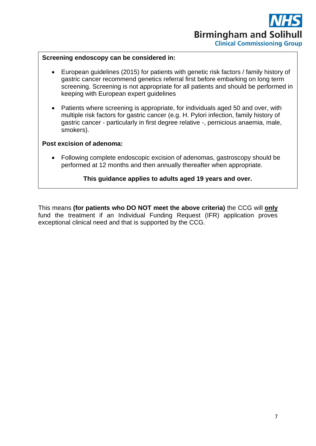#### **Screening endoscopy can be considered in:**

- European guidelines (2015) for patients with genetic risk factors / family history of gastric cancer recommend genetics referral first before embarking on long term screening. Screening is not appropriate for all patients and should be performed in keeping with European expert guidelines
- Patients where screening is appropriate, for individuals aged 50 and over, with multiple risk factors for gastric cancer (e.g. H. Pylori infection, family history of gastric cancer - particularly in first degree relative -, pernicious anaemia, male, smokers).

#### **Post excision of adenoma:**

• Following complete endoscopic excision of adenomas, gastroscopy should be performed at 12 months and then annually thereafter when appropriate.

#### **This guidance applies to adults aged 19 years and over.**

This means **(for patients who DO NOT meet the above criteria)** the CCG will **only** fund the treatment if an Individual Funding Request (IFR) application proves exceptional clinical need and that is supported by the CCG.